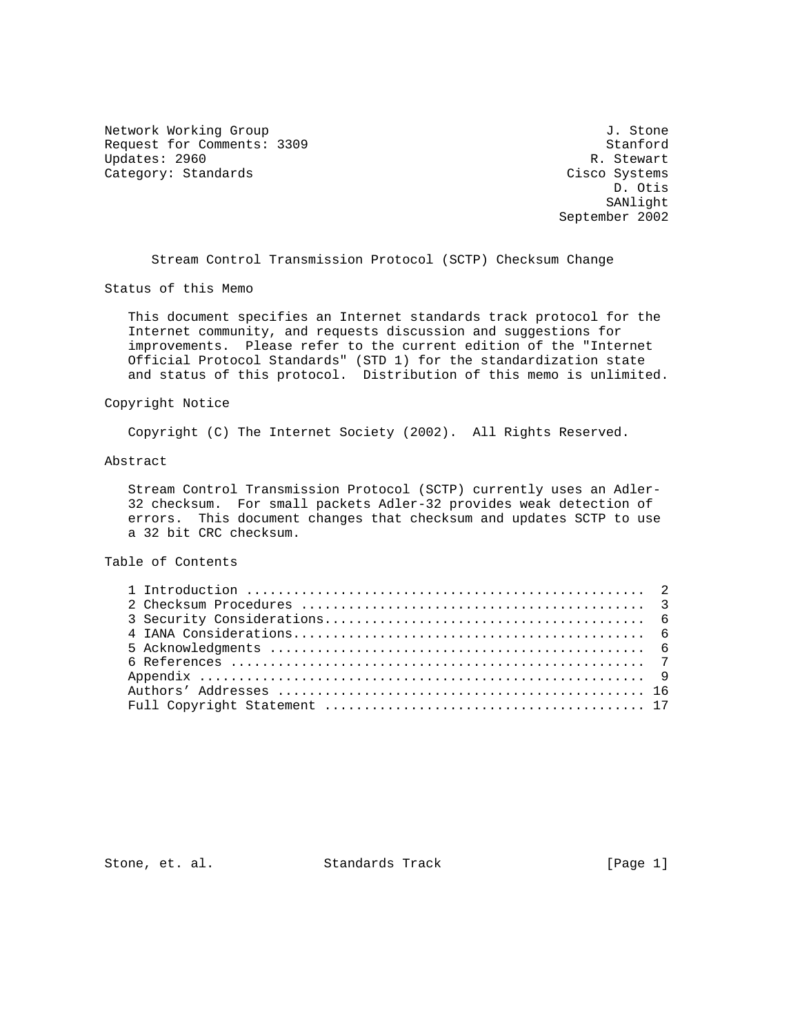Network Working Group 3. Stone J. Stone Request for Comments: 3309 Stanford<br>Updates: 2960 R. Stewart Updates: 2960 R. Stewart (1999) R. Stewart (1999) R. Stewart (1999) R. Stewart (1999) R. Stewart (1999) R. Stewart (1999) R. Stewart (1999) R. Stewart (1999) R. Stewart (1999) R. Stewart (1999) R. Stewart (1999) R. Stewart Category: Standards

 D. Otis SANlight September 2002

Stream Control Transmission Protocol (SCTP) Checksum Change

Status of this Memo

 This document specifies an Internet standards track protocol for the Internet community, and requests discussion and suggestions for improvements. Please refer to the current edition of the "Internet Official Protocol Standards" (STD 1) for the standardization state and status of this protocol. Distribution of this memo is unlimited.

### Copyright Notice

Copyright (C) The Internet Society (2002). All Rights Reserved.

#### Abstract

 Stream Control Transmission Protocol (SCTP) currently uses an Adler- 32 checksum. For small packets Adler-32 provides weak detection of errors. This document changes that checksum and updates SCTP to use a 32 bit CRC checksum.

## Table of Contents

Stone, et. al. Standards Track [Page 1]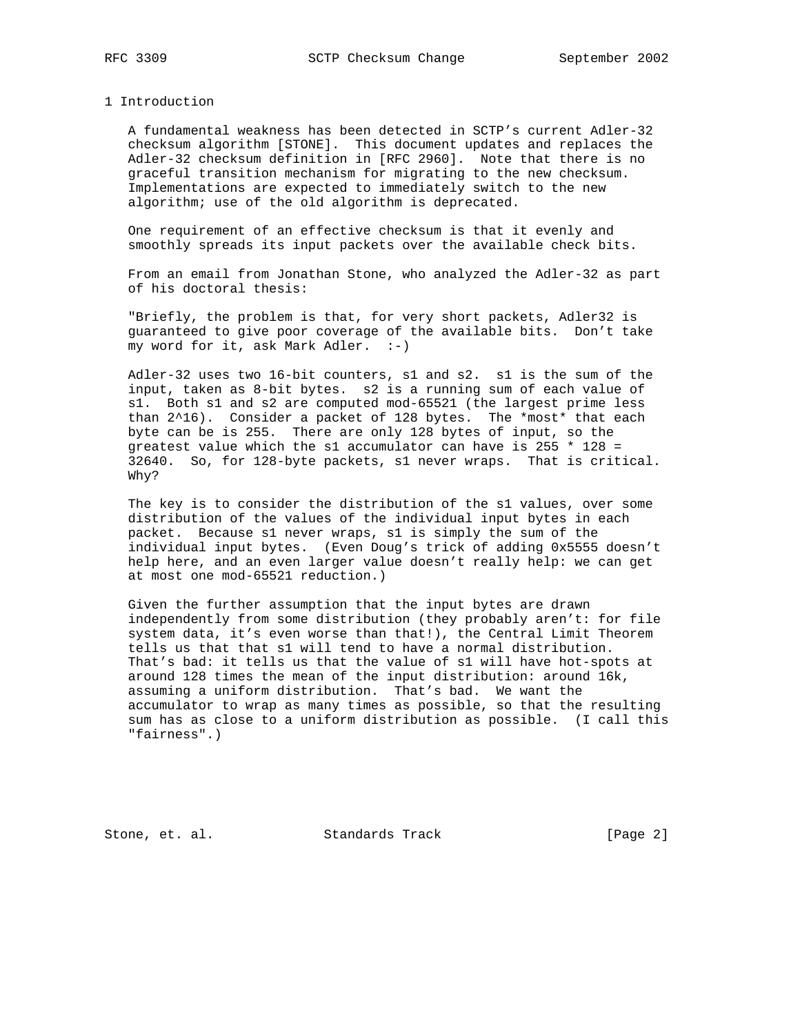#### 1 Introduction

 A fundamental weakness has been detected in SCTP's current Adler-32 checksum algorithm [STONE]. This document updates and replaces the Adler-32 checksum definition in [RFC 2960]. Note that there is no graceful transition mechanism for migrating to the new checksum. Implementations are expected to immediately switch to the new algorithm; use of the old algorithm is deprecated.

 One requirement of an effective checksum is that it evenly and smoothly spreads its input packets over the available check bits.

 From an email from Jonathan Stone, who analyzed the Adler-32 as part of his doctoral thesis:

 "Briefly, the problem is that, for very short packets, Adler32 is guaranteed to give poor coverage of the available bits. Don't take my word for it, ask Mark Adler.  $:-)$ 

 Adler-32 uses two 16-bit counters, s1 and s2. s1 is the sum of the input, taken as 8-bit bytes. s2 is a running sum of each value of s1. Both s1 and s2 are computed mod-65521 (the largest prime less than 2^16). Consider a packet of 128 bytes. The \*most\* that each byte can be is 255. There are only 128 bytes of input, so the greatest value which the s1 accumulator can have is 255  $*$  128 = 32640. So, for 128-byte packets, s1 never wraps. That is critical. Why?

 The key is to consider the distribution of the s1 values, over some distribution of the values of the individual input bytes in each packet. Because s1 never wraps, s1 is simply the sum of the individual input bytes. (Even Doug's trick of adding 0x5555 doesn't help here, and an even larger value doesn't really help: we can get at most one mod-65521 reduction.)

 Given the further assumption that the input bytes are drawn independently from some distribution (they probably aren't: for file system data, it's even worse than that!), the Central Limit Theorem tells us that that s1 will tend to have a normal distribution. That's bad: it tells us that the value of s1 will have hot-spots at around 128 times the mean of the input distribution: around 16k, assuming a uniform distribution. That's bad. We want the accumulator to wrap as many times as possible, so that the resulting sum has as close to a uniform distribution as possible. (I call this "fairness".)

Stone, et. al. Standards Track [Page 2]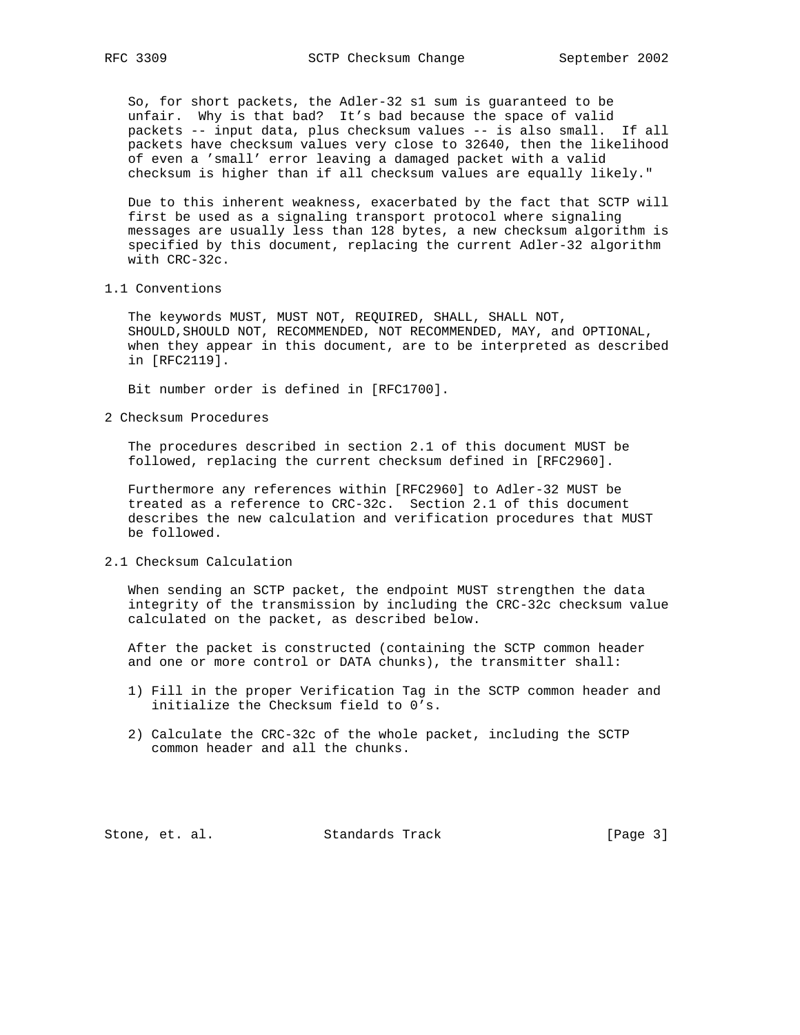So, for short packets, the Adler-32 s1 sum is guaranteed to be unfair. Why is that bad? It's bad because the space of valid packets -- input data, plus checksum values -- is also small. If all packets have checksum values very close to 32640, then the likelihood of even a 'small' error leaving a damaged packet with a valid checksum is higher than if all checksum values are equally likely."

 Due to this inherent weakness, exacerbated by the fact that SCTP will first be used as a signaling transport protocol where signaling messages are usually less than 128 bytes, a new checksum algorithm is specified by this document, replacing the current Adler-32 algorithm with CRC-32c.

1.1 Conventions

 The keywords MUST, MUST NOT, REQUIRED, SHALL, SHALL NOT, SHOULD,SHOULD NOT, RECOMMENDED, NOT RECOMMENDED, MAY, and OPTIONAL, when they appear in this document, are to be interpreted as described in [RFC2119].

Bit number order is defined in [RFC1700].

2 Checksum Procedures

 The procedures described in section 2.1 of this document MUST be followed, replacing the current checksum defined in [RFC2960].

 Furthermore any references within [RFC2960] to Adler-32 MUST be treated as a reference to CRC-32c. Section 2.1 of this document describes the new calculation and verification procedures that MUST be followed.

2.1 Checksum Calculation

 When sending an SCTP packet, the endpoint MUST strengthen the data integrity of the transmission by including the CRC-32c checksum value calculated on the packet, as described below.

 After the packet is constructed (containing the SCTP common header and one or more control or DATA chunks), the transmitter shall:

- 1) Fill in the proper Verification Tag in the SCTP common header and initialize the Checksum field to 0's.
- 2) Calculate the CRC-32c of the whole packet, including the SCTP common header and all the chunks.

Stone, et. al. Standards Track [Page 3]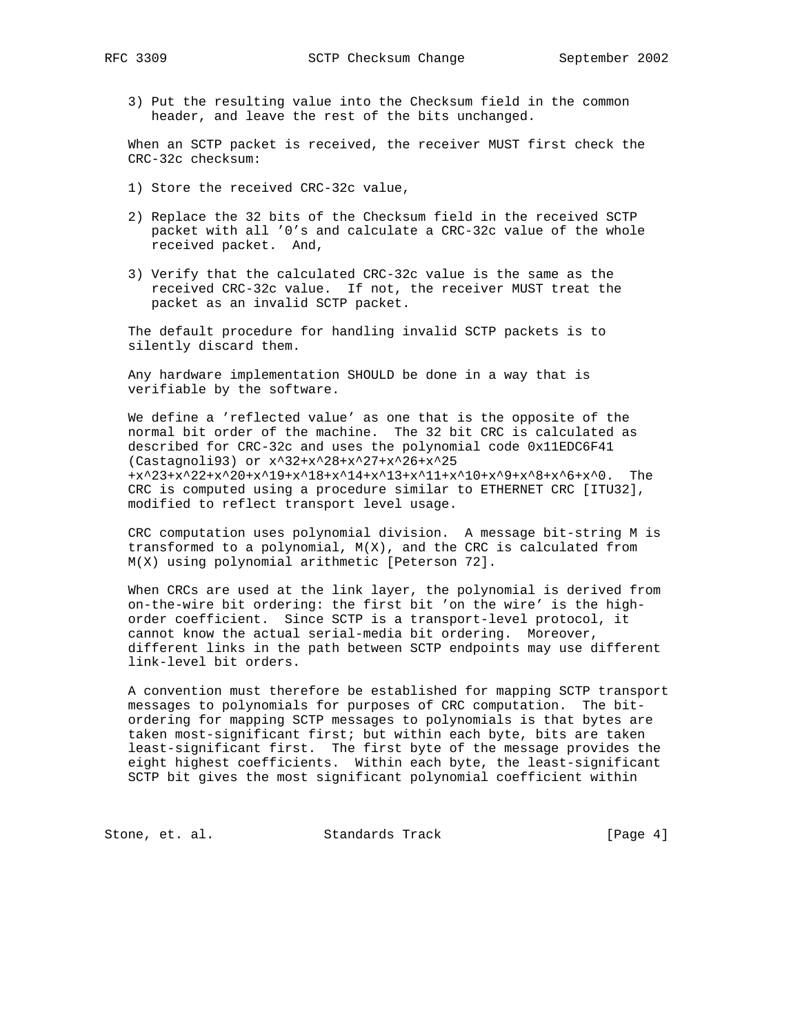- - 3) Put the resulting value into the Checksum field in the common header, and leave the rest of the bits unchanged.

 When an SCTP packet is received, the receiver MUST first check the CRC-32c checksum:

- 1) Store the received CRC-32c value,
- 2) Replace the 32 bits of the Checksum field in the received SCTP packet with all '0's and calculate a CRC-32c value of the whole received packet. And,
- 3) Verify that the calculated CRC-32c value is the same as the received CRC-32c value. If not, the receiver MUST treat the packet as an invalid SCTP packet.

 The default procedure for handling invalid SCTP packets is to silently discard them.

 Any hardware implementation SHOULD be done in a way that is verifiable by the software.

 We define a 'reflected value' as one that is the opposite of the normal bit order of the machine. The 32 bit CRC is calculated as described for CRC-32c and uses the polynomial code 0x11EDC6F41 (Castagnoli93) or x^32+x^28+x^27+x^26+x^25 +x^23+x^22+x^20+x^19+x^18+x^14+x^13+x^11+x^10+x^9+x^8+x^6+x^0. The CRC is computed using a procedure similar to ETHERNET CRC [ITU32], modified to reflect transport level usage.

 CRC computation uses polynomial division. A message bit-string M is transformed to a polynomial, M(X), and the CRC is calculated from M(X) using polynomial arithmetic [Peterson 72].

 When CRCs are used at the link layer, the polynomial is derived from on-the-wire bit ordering: the first bit 'on the wire' is the high order coefficient. Since SCTP is a transport-level protocol, it cannot know the actual serial-media bit ordering. Moreover, different links in the path between SCTP endpoints may use different link-level bit orders.

 A convention must therefore be established for mapping SCTP transport messages to polynomials for purposes of CRC computation. The bit ordering for mapping SCTP messages to polynomials is that bytes are taken most-significant first; but within each byte, bits are taken least-significant first. The first byte of the message provides the eight highest coefficients. Within each byte, the least-significant SCTP bit gives the most significant polynomial coefficient within

Stone, et. al. Standards Track [Page 4]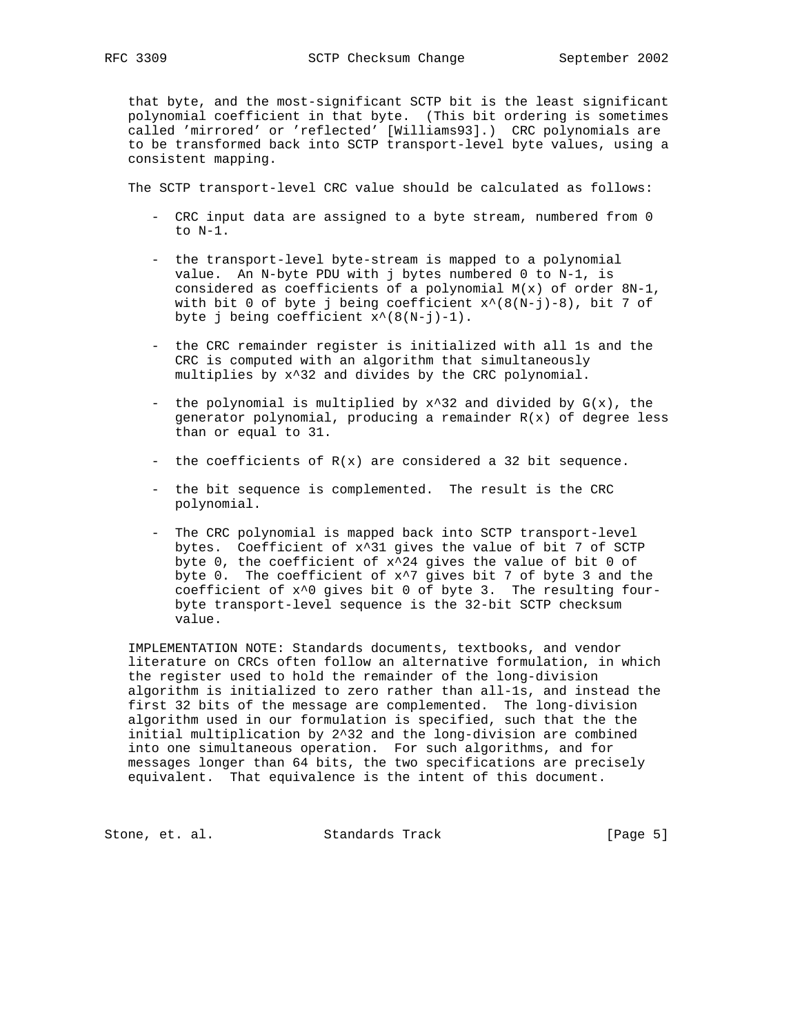that byte, and the most-significant SCTP bit is the least significant polynomial coefficient in that byte. (This bit ordering is sometimes called 'mirrored' or 'reflected' [Williams93].) CRC polynomials are to be transformed back into SCTP transport-level byte values, using a consistent mapping.

The SCTP transport-level CRC value should be calculated as follows:

- CRC input data are assigned to a byte stream, numbered from 0 to N-1.
- the transport-level byte-stream is mapped to a polynomial value. An N-byte PDU with j bytes numbered 0 to N-1, is considered as coefficients of a polynomial  $M(x)$  of order  $8N-1$ , with bit 0 of byte j being coefficient  $x^*(8(N-j)-8)$ , bit 7 of byte j being coefficient  $x^*(8(N-j)-1)$ .
- the CRC remainder register is initialized with all 1s and the CRC is computed with an algorithm that simultaneously multiplies by x^32 and divides by the CRC polynomial.
- the polynomial is multiplied by  $x^3$ 2 and divided by  $G(x)$ , the generator polynomial, producing a remainder  $R(x)$  of degree less than or equal to 31.
- the coefficients of R(x) are considered a 32 bit sequence.
- the bit sequence is complemented. The result is the CRC polynomial.
- The CRC polynomial is mapped back into SCTP transport-level bytes. Coefficient of x^31 gives the value of bit 7 of SCTP byte 0, the coefficient of  $x^2$ 4 gives the value of bit 0 of byte 0. The coefficient of  $x^2$  gives bit 7 of byte 3 and the coefficient of x^0 gives bit 0 of byte 3. The resulting four byte transport-level sequence is the 32-bit SCTP checksum value.

 IMPLEMENTATION NOTE: Standards documents, textbooks, and vendor literature on CRCs often follow an alternative formulation, in which the register used to hold the remainder of the long-division algorithm is initialized to zero rather than all-1s, and instead the first 32 bits of the message are complemented. The long-division algorithm used in our formulation is specified, such that the the initial multiplication by 2^32 and the long-division are combined into one simultaneous operation. For such algorithms, and for messages longer than 64 bits, the two specifications are precisely equivalent. That equivalence is the intent of this document.

Stone, et. al. Standards Track [Page 5]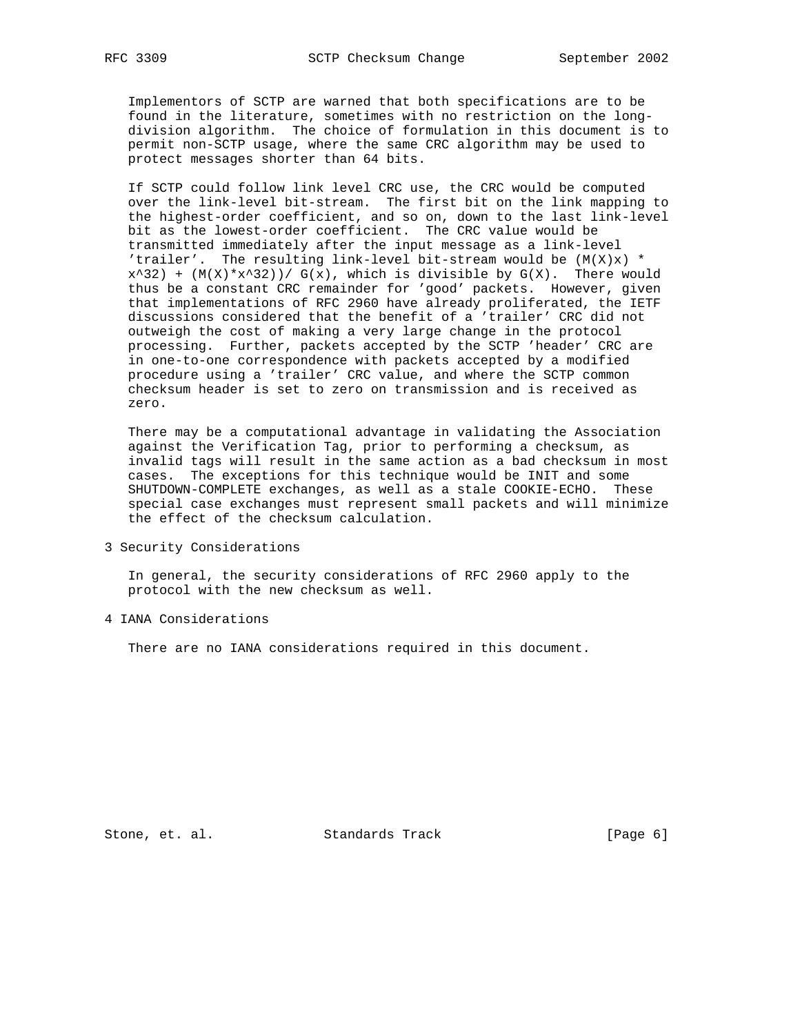Implementors of SCTP are warned that both specifications are to be found in the literature, sometimes with no restriction on the long division algorithm. The choice of formulation in this document is to permit non-SCTP usage, where the same CRC algorithm may be used to protect messages shorter than 64 bits.

 If SCTP could follow link level CRC use, the CRC would be computed over the link-level bit-stream. The first bit on the link mapping to the highest-order coefficient, and so on, down to the last link-level bit as the lowest-order coefficient. The CRC value would be transmitted immediately after the input message as a link-level 'trailer'. The resulting link-level bit-stream would be  $(M(X))$  \*  $x^3$ 2) + (M(X)\* $x^3$ 2))/ G(x), which is divisible by G(X). There would thus be a constant CRC remainder for 'good' packets. However, given that implementations of RFC 2960 have already proliferated, the IETF discussions considered that the benefit of a 'trailer' CRC did not outweigh the cost of making a very large change in the protocol processing. Further, packets accepted by the SCTP 'header' CRC are in one-to-one correspondence with packets accepted by a modified procedure using a 'trailer' CRC value, and where the SCTP common checksum header is set to zero on transmission and is received as zero.

 There may be a computational advantage in validating the Association against the Verification Tag, prior to performing a checksum, as invalid tags will result in the same action as a bad checksum in most cases. The exceptions for this technique would be INIT and some SHUTDOWN-COMPLETE exchanges, as well as a stale COOKIE-ECHO. These special case exchanges must represent small packets and will minimize the effect of the checksum calculation.

3 Security Considerations

 In general, the security considerations of RFC 2960 apply to the protocol with the new checksum as well.

4 IANA Considerations

There are no IANA considerations required in this document.

Stone, et. al. Standards Track [Page 6]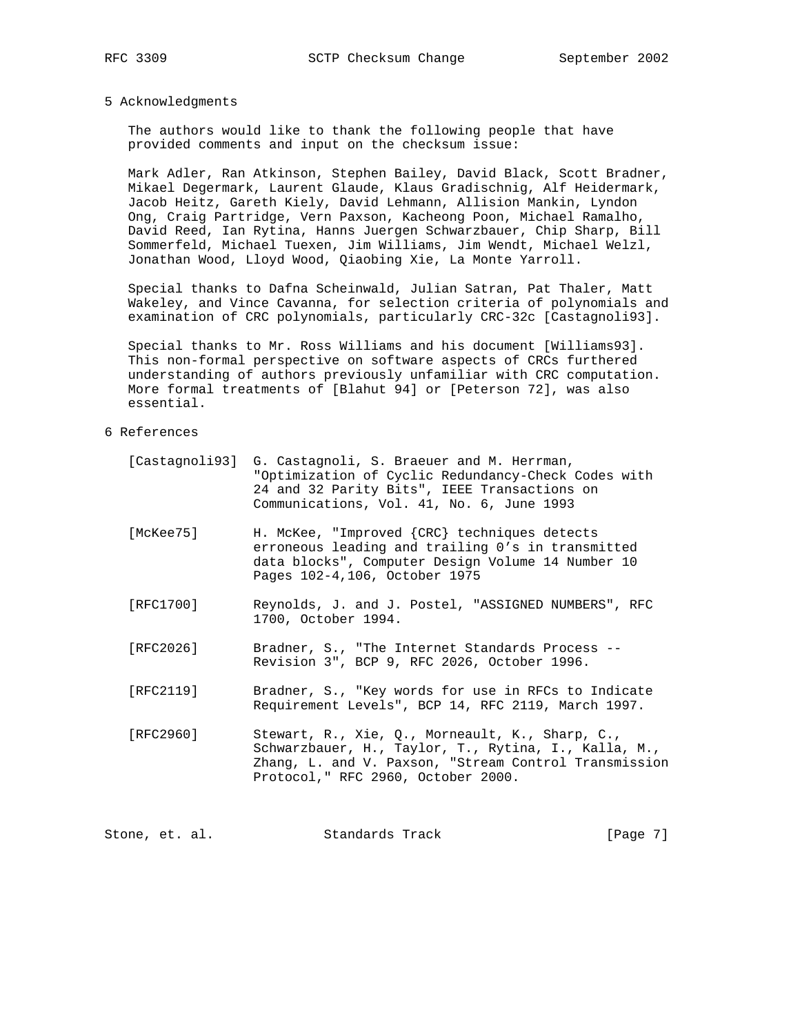## 5 Acknowledgments

 The authors would like to thank the following people that have provided comments and input on the checksum issue:

 Mark Adler, Ran Atkinson, Stephen Bailey, David Black, Scott Bradner, Mikael Degermark, Laurent Glaude, Klaus Gradischnig, Alf Heidermark, Jacob Heitz, Gareth Kiely, David Lehmann, Allision Mankin, Lyndon Ong, Craig Partridge, Vern Paxson, Kacheong Poon, Michael Ramalho, David Reed, Ian Rytina, Hanns Juergen Schwarzbauer, Chip Sharp, Bill Sommerfeld, Michael Tuexen, Jim Williams, Jim Wendt, Michael Welzl, Jonathan Wood, Lloyd Wood, Qiaobing Xie, La Monte Yarroll.

 Special thanks to Dafna Scheinwald, Julian Satran, Pat Thaler, Matt Wakeley, and Vince Cavanna, for selection criteria of polynomials and examination of CRC polynomials, particularly CRC-32c [Castagnoli93].

 Special thanks to Mr. Ross Williams and his document [Williams93]. This non-formal perspective on software aspects of CRCs furthered understanding of authors previously unfamiliar with CRC computation. More formal treatments of [Blahut 94] or [Peterson 72], was also essential.

## 6 References

- [Castagnoli93] G. Castagnoli, S. Braeuer and M. Herrman, "Optimization of Cyclic Redundancy-Check Codes with 24 and 32 Parity Bits", IEEE Transactions on Communications, Vol. 41, No. 6, June 1993
- [McKee75] H. McKee, "Improved {CRC} techniques detects erroneous leading and trailing 0's in transmitted data blocks", Computer Design Volume 14 Number 10 Pages 102-4,106, October 1975
- [RFC1700] Reynolds, J. and J. Postel, "ASSIGNED NUMBERS", RFC 1700, October 1994.
- [RFC2026] Bradner, S., "The Internet Standards Process -- Revision 3", BCP 9, RFC 2026, October 1996.
- [RFC2119] Bradner, S., "Key words for use in RFCs to Indicate Requirement Levels", BCP 14, RFC 2119, March 1997.
- [RFC2960] Stewart, R., Xie, Q., Morneault, K., Sharp, C., Schwarzbauer, H., Taylor, T., Rytina, I., Kalla, M., Zhang, L. and V. Paxson, "Stream Control Transmission Protocol," RFC 2960, October 2000.

Stone, et. al. Standards Track [Page 7]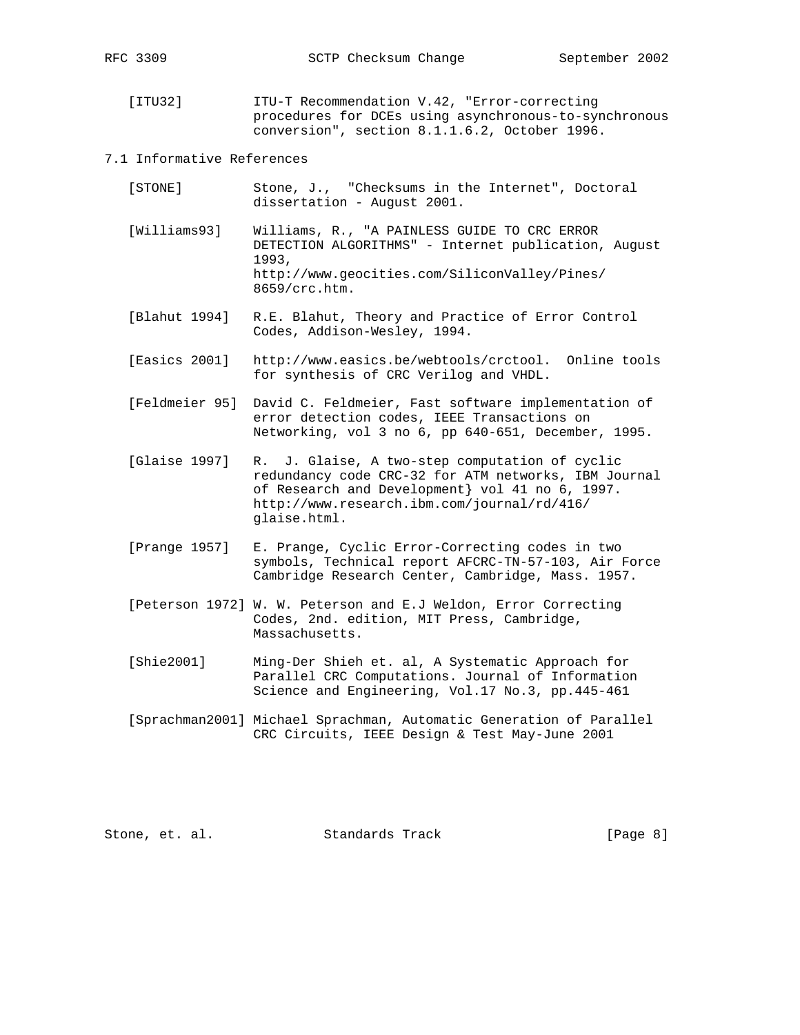[ITU32] ITU-T Recommendation V.42, "Error-correcting procedures for DCEs using asynchronous-to-synchronous conversion", section 8.1.1.6.2, October 1996.

## 7.1 Informative References

- [STONE] Stone, J., "Checksums in the Internet", Doctoral dissertation - August 2001.
- [Williams93] Williams, R., "A PAINLESS GUIDE TO CRC ERROR DETECTION ALGORITHMS" - Internet publication, August 1993, http://www.geocities.com/SiliconValley/Pines/ 8659/crc.htm.
- [Blahut 1994] R.E. Blahut, Theory and Practice of Error Control Codes, Addison-Wesley, 1994.
- [Easics 2001] http://www.easics.be/webtools/crctool. Online tools for synthesis of CRC Verilog and VHDL.
- [Feldmeier 95] David C. Feldmeier, Fast software implementation of error detection codes, IEEE Transactions on Networking, vol 3 no 6, pp 640-651, December, 1995.
- [Glaise 1997] R. J. Glaise, A two-step computation of cyclic redundancy code CRC-32 for ATM networks, IBM Journal of Research and Development} vol 41 no 6, 1997. http://www.research.ibm.com/journal/rd/416/ glaise.html.
- [Prange 1957] E. Prange, Cyclic Error-Correcting codes in two symbols, Technical report AFCRC-TN-57-103, Air Force Cambridge Research Center, Cambridge, Mass. 1957.
- [Peterson 1972] W. W. Peterson and E.J Weldon, Error Correcting Codes, 2nd. edition, MIT Press, Cambridge, Massachusetts.
- [Shie2001] Ming-Der Shieh et. al, A Systematic Approach for Parallel CRC Computations. Journal of Information Science and Engineering, Vol.17 No.3, pp.445-461
- [Sprachman2001] Michael Sprachman, Automatic Generation of Parallel CRC Circuits, IEEE Design & Test May-June 2001

Stone, et. al. Standards Track [Page 8]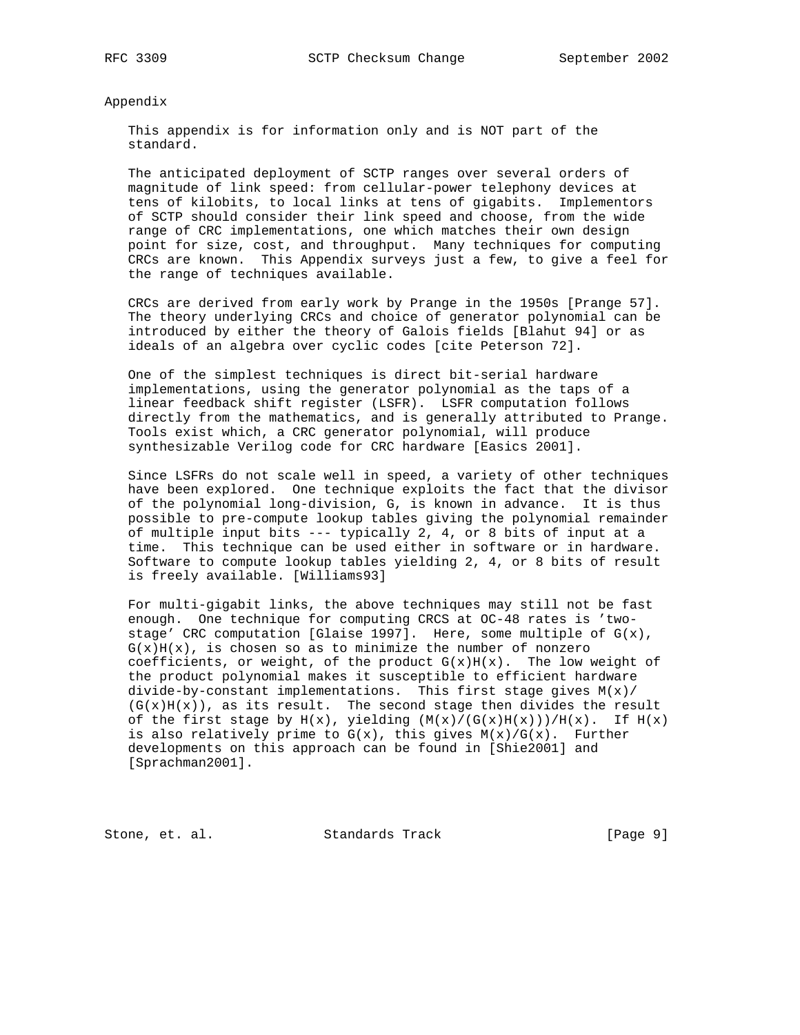#### Appendix

 This appendix is for information only and is NOT part of the standard.

 The anticipated deployment of SCTP ranges over several orders of magnitude of link speed: from cellular-power telephony devices at tens of kilobits, to local links at tens of gigabits. Implementors of SCTP should consider their link speed and choose, from the wide range of CRC implementations, one which matches their own design point for size, cost, and throughput. Many techniques for computing CRCs are known. This Appendix surveys just a few, to give a feel for the range of techniques available.

 CRCs are derived from early work by Prange in the 1950s [Prange 57]. The theory underlying CRCs and choice of generator polynomial can be introduced by either the theory of Galois fields [Blahut 94] or as ideals of an algebra over cyclic codes [cite Peterson 72].

 One of the simplest techniques is direct bit-serial hardware implementations, using the generator polynomial as the taps of a linear feedback shift register (LSFR). LSFR computation follows directly from the mathematics, and is generally attributed to Prange. Tools exist which, a CRC generator polynomial, will produce synthesizable Verilog code for CRC hardware [Easics 2001].

 Since LSFRs do not scale well in speed, a variety of other techniques have been explored. One technique exploits the fact that the divisor of the polynomial long-division, G, is known in advance. It is thus possible to pre-compute lookup tables giving the polynomial remainder of multiple input bits --- typically 2, 4, or 8 bits of input at a time. This technique can be used either in software or in hardware. Software to compute lookup tables yielding 2, 4, or 8 bits of result is freely available. [Williams93]

 For multi-gigabit links, the above techniques may still not be fast enough. One technique for computing CRCS at OC-48 rates is 'two stage' CRC computation [Glaise 1997]. Here, some multiple of  $G(x)$ ,  $G(x)H(x)$ , is chosen so as to minimize the number of nonzero coefficients, or weight, of the product  $G(x)H(x)$ . The low weight of the product polynomial makes it susceptible to efficient hardware divide-by-constant implementations. This first stage gives  $M(x)$ /  $(G(x)H(x))$ , as its result. The second stage then divides the result of the first stage by  $H(x)$ , yielding  $(M(x)/(G(x)H(x)))/H(x)$ . If  $H(x)$ is also relatively prime to  $G(x)$ , this gives  $M(x)/G(x)$ . Further developments on this approach can be found in [Shie2001] and [Sprachman2001].

Stone, et. al. Standards Track [Page 9]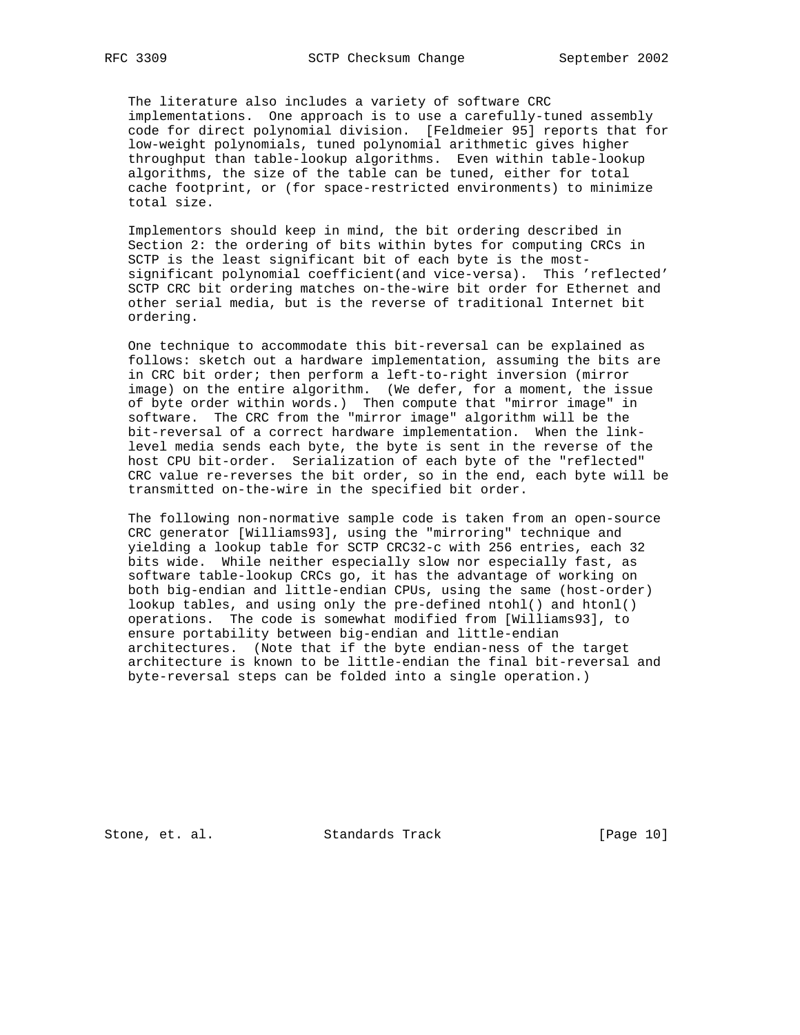The literature also includes a variety of software CRC implementations. One approach is to use a carefully-tuned assembly code for direct polynomial division. [Feldmeier 95] reports that for low-weight polynomials, tuned polynomial arithmetic gives higher throughput than table-lookup algorithms. Even within table-lookup algorithms, the size of the table can be tuned, either for total cache footprint, or (for space-restricted environments) to minimize total size.

 Implementors should keep in mind, the bit ordering described in Section 2: the ordering of bits within bytes for computing CRCs in SCTP is the least significant bit of each byte is the most significant polynomial coefficient(and vice-versa). This 'reflected' SCTP CRC bit ordering matches on-the-wire bit order for Ethernet and other serial media, but is the reverse of traditional Internet bit ordering.

 One technique to accommodate this bit-reversal can be explained as follows: sketch out a hardware implementation, assuming the bits are in CRC bit order; then perform a left-to-right inversion (mirror image) on the entire algorithm. (We defer, for a moment, the issue of byte order within words.) Then compute that "mirror image" in software. The CRC from the "mirror image" algorithm will be the bit-reversal of a correct hardware implementation. When the link level media sends each byte, the byte is sent in the reverse of the host CPU bit-order. Serialization of each byte of the "reflected" CRC value re-reverses the bit order, so in the end, each byte will be transmitted on-the-wire in the specified bit order.

 The following non-normative sample code is taken from an open-source CRC generator [Williams93], using the "mirroring" technique and yielding a lookup table for SCTP CRC32-c with 256 entries, each 32 bits wide. While neither especially slow nor especially fast, as software table-lookup CRCs go, it has the advantage of working on both big-endian and little-endian CPUs, using the same (host-order) lookup tables, and using only the pre-defined ntohl() and htonl() operations. The code is somewhat modified from [Williams93], to ensure portability between big-endian and little-endian architectures. (Note that if the byte endian-ness of the target architecture is known to be little-endian the final bit-reversal and byte-reversal steps can be folded into a single operation.)

Stone, et. al. Standards Track [Page 10]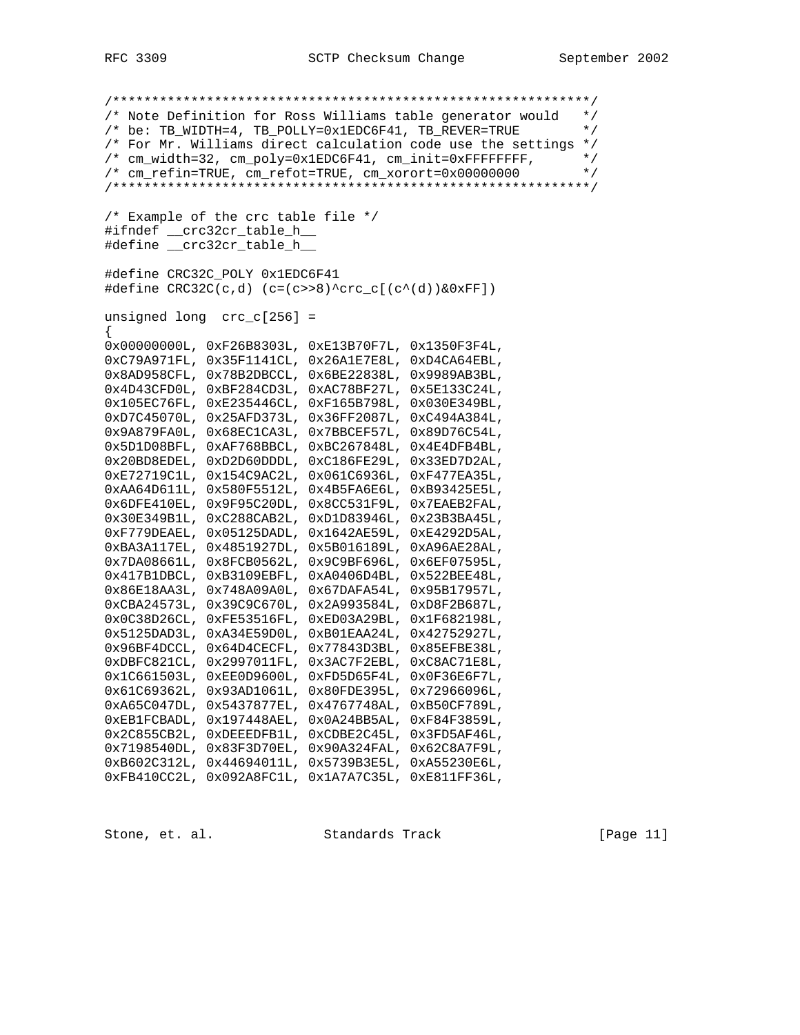/\*\*\*\*\*\*\*\*\*\*\*\*\*\*\*\*\*\*\*\*\*\*\*\*\*\*\*\*\*\*\*\*\*\*\*\*\*\*\*\*\*\*\*\*\*\*\*\*\*\*\*\*\*\*\*\*\*\*\*\*\*/ /\* Note Definition for Ross Williams table generator would \*/ /\* be: TB\_WIDTH=4, TB\_POLLY=0x1EDC6F41, TB\_REVER=TRUE \*/ /\* For Mr. Williams direct calculation code use the settings \*/ /\* cm\_width=32, cm\_poly=0x1EDC6F41, cm\_init=0xFFFFFFFFF,  $\star$ /<br>/\* cm refin=TRUE, cm refot=TRUE, cm xorort=0x00000000  $\star$ / /\* cm\_refin=TRUE, cm\_refot=TRUE, cm\_xorort=0x00000000 \*/ /\*\*\*\*\*\*\*\*\*\*\*\*\*\*\*\*\*\*\*\*\*\*\*\*\*\*\*\*\*\*\*\*\*\*\*\*\*\*\*\*\*\*\*\*\*\*\*\*\*\*\*\*\*\*\*\*\*\*\*\*\*/ /\* Example of the crc table file \*/ #ifndef \_\_crc32cr\_table\_h\_\_ #define \_\_crc32cr\_table\_h\_\_ #define CRC32C\_POLY 0x1EDC6F41  $\#\text{define } CRC32C(c,d)$  (c=(c>>8)^crc\_c[(c^(d))&0xFF]) unsigned long crc\_c[256] = { 0x00000000L, 0xF26B8303L, 0xE13B70F7L, 0x1350F3F4L, 0xC79A971FL, 0x35F1141CL, 0x26A1E7E8L, 0xD4CA64EBL, 0x8AD958CFL, 0x78B2DBCCL, 0x6BE22838L, 0x9989AB3BL, 0x4D43CFD0L, 0xBF284CD3L, 0xAC78BF27L, 0x5E133C24L, 0x105EC76FL, 0xE235446CL, 0xF165B798L, 0x030E349BL, 0xD7C45070L, 0x25AFD373L, 0x36FF2087L, 0xC494A384L, 0x9A879FA0L, 0x68EC1CA3L, 0x7BBCEF57L, 0x89D76C54L, 0x5D1D08BFL, 0xAF768BBCL, 0xBC267848L, 0x4E4DFB4BL, 0x20BD8EDEL, 0xD2D60DDDL, 0xC186FE29L, 0x33ED7D2AL, 0xE72719C1L, 0x154C9AC2L, 0x061C6936L, 0xF477EA35L, 0xAA64D611L, 0x580F5512L, 0x4B5FA6E6L, 0xB93425E5L, 0x6DFE410EL, 0x9F95C20DL, 0x8CC531F9L, 0x7EAEB2FAL, 0x30E349B1L, 0xC288CAB2L, 0xD1D83946L, 0x23B3BA45L, 0xF779DEAEL, 0x05125DADL, 0x1642AE59L, 0xE4292D5AL, 0xBA3A117EL, 0x4851927DL, 0x5B016189L, 0xA96AE28AL, 0x7DA08661L, 0x8FCB0562L, 0x9C9BF696L, 0x6EF07595L, 0x417B1DBCL, 0xB3109EBFL, 0xA0406D4BL, 0x522BEE48L, 0x86E18AA3L, 0x748A09A0L, 0x67DAFA54L, 0x95B17957L, 0xCBA24573L, 0x39C9C670L, 0x2A993584L, 0xD8F2B687L, 0x0C38D26CL, 0xFE53516FL, 0xED03A29BL, 0x1F682198L, 0x5125DAD3L, 0xA34E59D0L, 0xB01EAA24L, 0x42752927L, 0x96BF4DCCL, 0x64D4CECFL, 0x77843D3BL, 0x85EFBE38L, 0xDBFC821CL, 0x2997011FL, 0x3AC7F2EBL, 0xC8AC71E8L, 0x1C661503L, 0xEE0D9600L, 0xFD5D65F4L, 0x0F36E6F7L, 0x61C69362L, 0x93AD1061L, 0x80FDE395L, 0x72966096L, 0xA65C047DL, 0x5437877EL, 0x4767748AL, 0xB50CF789L, 0xEB1FCBADL, 0x197448AEL, 0x0A24BB5AL, 0xF84F3859L, 0x2C855CB2L, 0xDEEEDFB1L, 0xCDBE2C45L, 0x3FD5AF46L, 0x7198540DL, 0x83F3D70EL, 0x90A324FAL, 0x62C8A7F9L, 0xB602C312L, 0x44694011L, 0x5739B3E5L, 0xA55230E6L, 0xFB410CC2L, 0x092A8FC1L, 0x1A7A7C35L, 0xE811FF36L,

Stone, et. al. Standards Track [Page 11]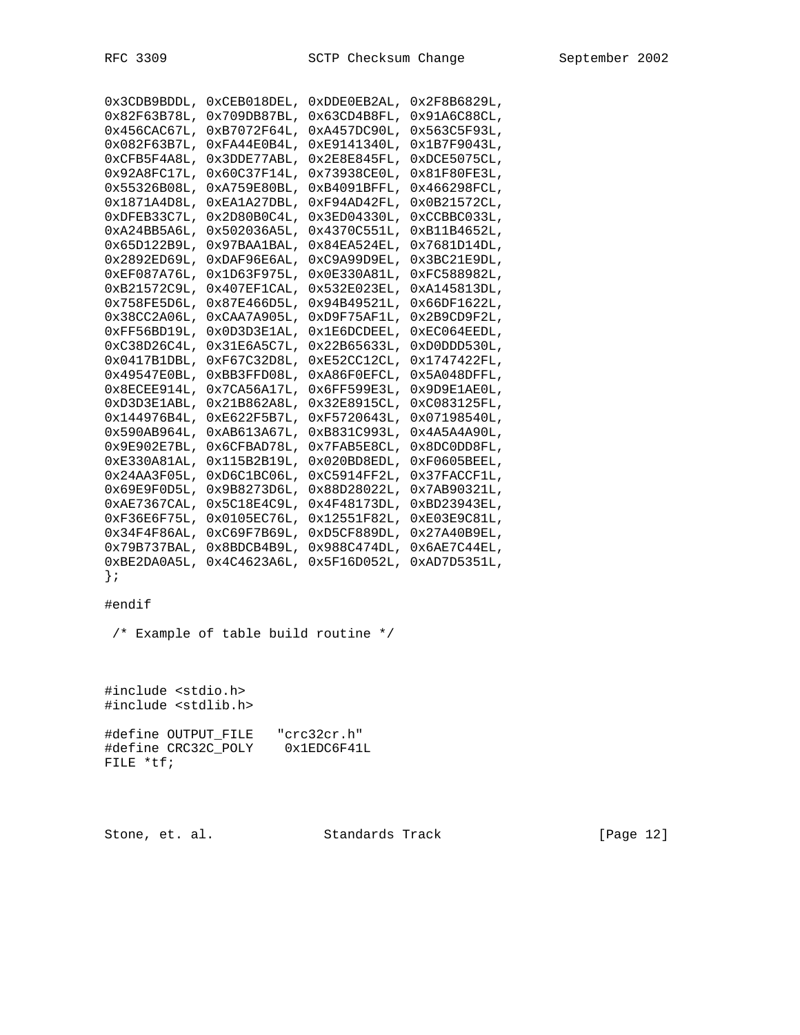| 0x3CDB9BDDL,    | 0xCEB018DEL,    | 0xDDE0EB2AL,    | 0x2F8B6829L,               |
|-----------------|-----------------|-----------------|----------------------------|
| 0x82F63B78L,    | 0x709DB87BL,    | 0x63CD4B8FL     | 0x91A6C88CL,               |
| 0x456CAC67L,    | 0xB7072F64L,    | 0xA457DC90L     | 0x563C5F93L,               |
| $0x082F63B7L$ , | 0xFA44E0B4L,    | 0xE9141340L     | 0x1B7F9043L,               |
| 0xCFB5F4A8L     | 0x3DDE77ABL,    | 0x2E8E845FL     | 0xDCE5075CL                |
| 0x92A8FCl7L     | 0x60C37F14L,    | 0x73938CE0L     | 0x81F80FE3L.               |
| 0x55326B08L     | 0xA759E80BL,    | 0xB4091BFFL     | 0x466298FCL.               |
| 0x1871A4D8L,    | 0xEA1A27DBL,    | 0xF94AD42FL     | 0x0B21572CL,               |
| OxDFEB33C7L,    | 0x2D80B0C4L,    | 0x3ED04330L     | 0xCCBBC033L,               |
| 0xA24BB5A6L     | 0x502036A5L,    | 0x4370C551L,    | 0xB11B4652L                |
| $0x65D122B9L$ , | 0x97BAA1BAL,    | $0x84E$ A524EL, | 0x7681D14DL                |
| 0x2892ED69L,    | 0xDAF96E6AL,    | 0xC9A99D9EL,    | 0x3BC21E9DL                |
| 0xEF087A76L     | 0x1D63F975L,    | 0x0E330A81L     | 0xFC588982L,               |
| 0xB21572C9L,    | $0x407EF1CAL$ , | $0x532E023E$ L, | 0xA145813DL,               |
| 0x758FE5D6L     | 0x87E466D5L,    | 0x94B49521L     | 0x66DF1622L,               |
| 0x38CC2A06L,    | 0xCAA7A905L,    | 0xD9F75AF1L     | 0x2B9CD9F2L,               |
| 0xFF56BD19L     | 0x0D3D3E1AL,    | Ox1E6DCDEEL,    | $0 \times$ EC $0 64$ EEDL, |
| 0xC38D26C4L     | 0x31E6A5C7L,    | 0x22B65633L     | 0xD0DD530L                 |
| $0x0417B1DBL$ , | 0xF67C32D8L,    | OxE52CC12CL,    | 0x1747422FL,               |
| 0x49547E0BL     | 0xBB3FFD08L     | 0xA86F0EFCL     | $0x5A048DFFL$ ,            |
| 0x8ECEE914L     | 0x7CA56A17L,    | 0x6FF599E3L,    | $0x9D9E1AEOL$ ,            |
| 0xD3D3E1ABL,    | 0x21B862A8L,    | 0x32E8915CL,    | 0xC083125FL,               |
| 0x144976B4L,    | 0xE622F5B7L,    | 0xF5720643L,    | 0x07198540L,               |
| 0x590AB964L     | 0xAB613A67L,    | 0xB831C993L,    | 0x4A5A4A90L                |
| 0x9E902E7BL     | 0x6CFBAD78L,    | 0x7FAB5E8CL,    | 0x8DC0DD8FL,               |
| 0xE330A81AL     | 0x115B2B19L,    | $0x020BDBEDL$ , | 0xF0605BEEL                |
| 0x24AA3F05L     | 0xD6C1BC06L,    | 0xC5914FF2L,    | 0x37FACCF1L,               |
| $0x69E9F0D5L$ , | 0x9B8273D6L,    | 0x88D28022L,    | 0x7AB90321L,               |
| $0xAE7367CAL$ , | 0x5C18E4C9L,    | 0x4F48173DL     | 0xBD23943EL,               |
| 0xF36E6F75L     | 0x0105EC76L,    | 0x12551F82L     | 0xE03E9C81L                |
| 0x34F4F86AL     | 0xC69F7B69L,    | 0xD5CF889DL,    | 0x27A40B9EL                |
| 0x79B737BAL,    | 0x8BDCB4B9L,    | 0x988C474DL,    | 0x6AE7C44EL                |
| 0xBE2DA0A5L,    | 0x4C4623A6L,    | 0x5F16D052L,    | 0xAD7D5351L,               |
|                 |                 |                 |                            |

# #endif

/\* Example of table build routine \*/

#include <stdio.h> #include <stdlib.h>

#define OUTPUT\_FILE "crc32cr.h" #define CRC32C\_POLY 0x1EDC6F41L FILE \*tf;

Stone, et. al. Standards Track [Page 12]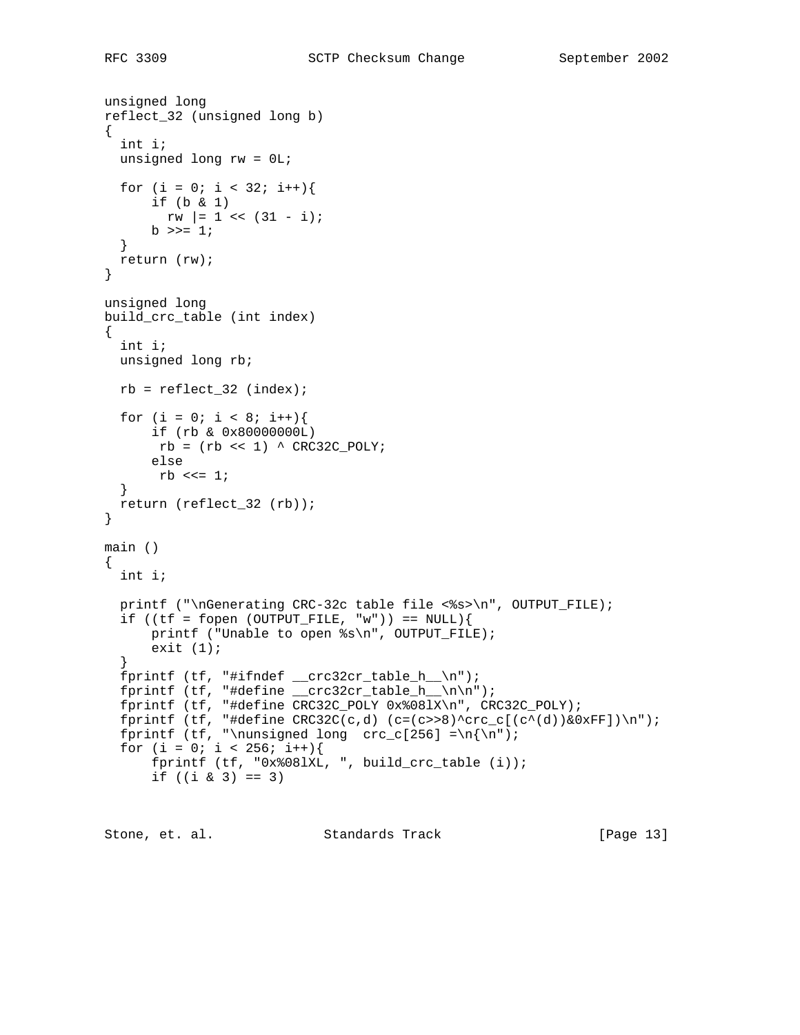```
unsigned long
reflect_32 (unsigned long b)
{
  int i;
  unsigned long rw = 0L;
  for (i = 0; i < 32; i++) if (b & 1)
       rw |= 1 << (31 - i);
     b \gg = 1; }
  return (rw);
}
unsigned long
build_crc_table (int index)
{
  int i;
  unsigned long rb;
 rb = reflect_32 (index);for (i = 0; i < 8; i++){
       if (rb & 0x80000000L)
      rb = (rb << 1) \wedge CRC32C_POLY;
       else
      rb \ll = 1; }
  return (reflect_32 (rb));
}
main ()
{
   int i;
  printf ("\nGenerating CRC-32c table file <%s>\n", OUTPUT_FILE);
  if ((tf = fopen (OUTPUT_FILE, "w")) == NULLprintf ("Unable to open %s\n", OUTPUT_FILE);
      exit (1);
   }
  fprintf (tf, "#ifndef __crc32cr_table_h__\n");
  fprintf (tf, "#define __crc32cr_table_h__\n\n");
  fprintf (tf, "#define CRC32C_POLY 0x%08lX\n", CRC32C_POLY);
  fprintf (tf, "#define CRC32C(c,d) (c=(c>>8)^crc_c[(c^(d))&0xFF])\n");
  fprintf (tf, "\nunsigned long crc_c[256] =\n{\n");
  for (i = 0; i < 256; i++) fprintf (tf, "0x%08lXL, ", build_crc_table (i));
      if ((i \& 3) == 3)
```
Stone, et. al. Standards Track [Page 13]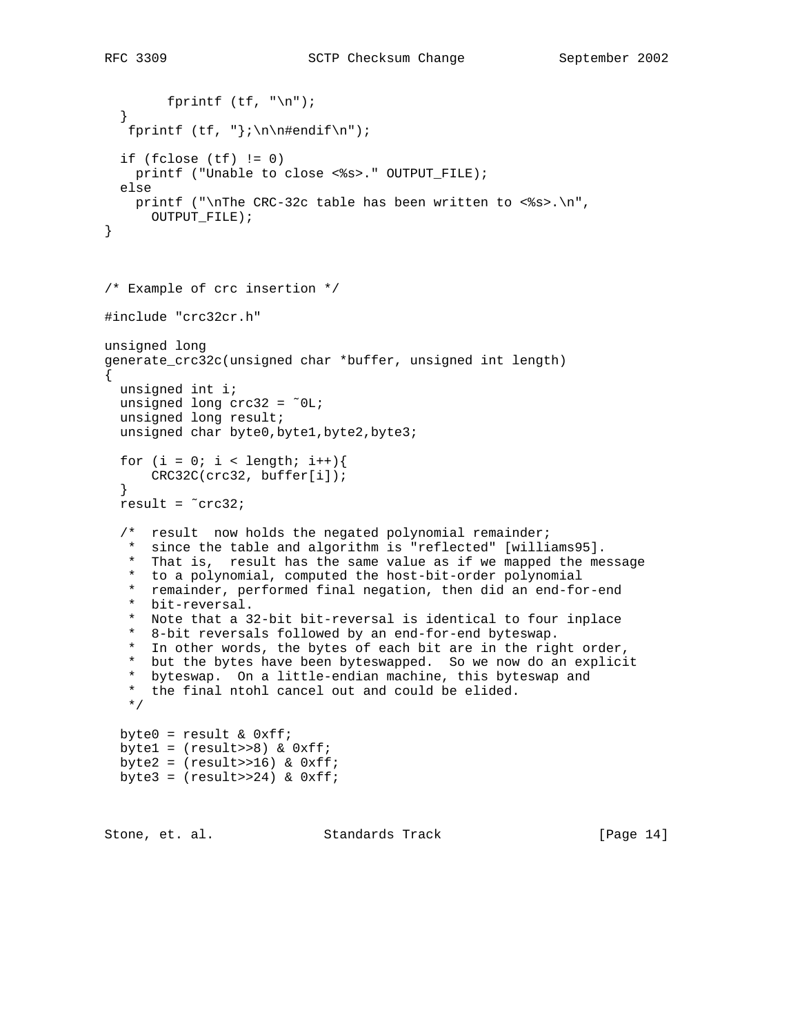```
fprintf (tf, "n");
   }
  fprintf (tf, "}\in\mathbb{H}^n);
  if (fclose (tf) != 0)
    printf ("Unable to close <%s>." OUTPUT_FILE);
   else
    printf ("\nThe CRC-32c table has been written to <%s>.\n",
      OUTPUT_FILE);
}
/* Example of crc insertion */
#include "crc32cr.h"
unsigned long
generate_crc32c(unsigned char *buffer, unsigned int length)
{
  unsigned int i;
  unsigned long crc32 = ˜0L;
  unsigned long result;
 unsigned char byte0, byte1, byte2, byte3;
  for (i = 0; i < length; i++){
       CRC32C(crc32, buffer[i]);
   }
   result = ˜crc32;
   /* result now holds the negated polynomial remainder;
    * since the table and algorithm is "reflected" [williams95].
    * That is, result has the same value as if we mapped the message
    * to a polynomial, computed the host-bit-order polynomial
    * remainder, performed final negation, then did an end-for-end
    * bit-reversal.
    * Note that a 32-bit bit-reversal is identical to four inplace
    * 8-bit reversals followed by an end-for-end byteswap.
     In other words, the bytes of each bit are in the right order,
    * but the bytes have been byteswapped. So we now do an explicit
    * byteswap. On a little-endian machine, this byteswap and
    * the final ntohl cancel out and could be elided.
    */
 byte0 = result & 0 \times f;
 bytel = (result>>8) & 0xff;byte2 = (result>>16) & 0xff;byte3 = (result>>24) & 0xff;Stone, et. al. Standards Track [Page 14]
```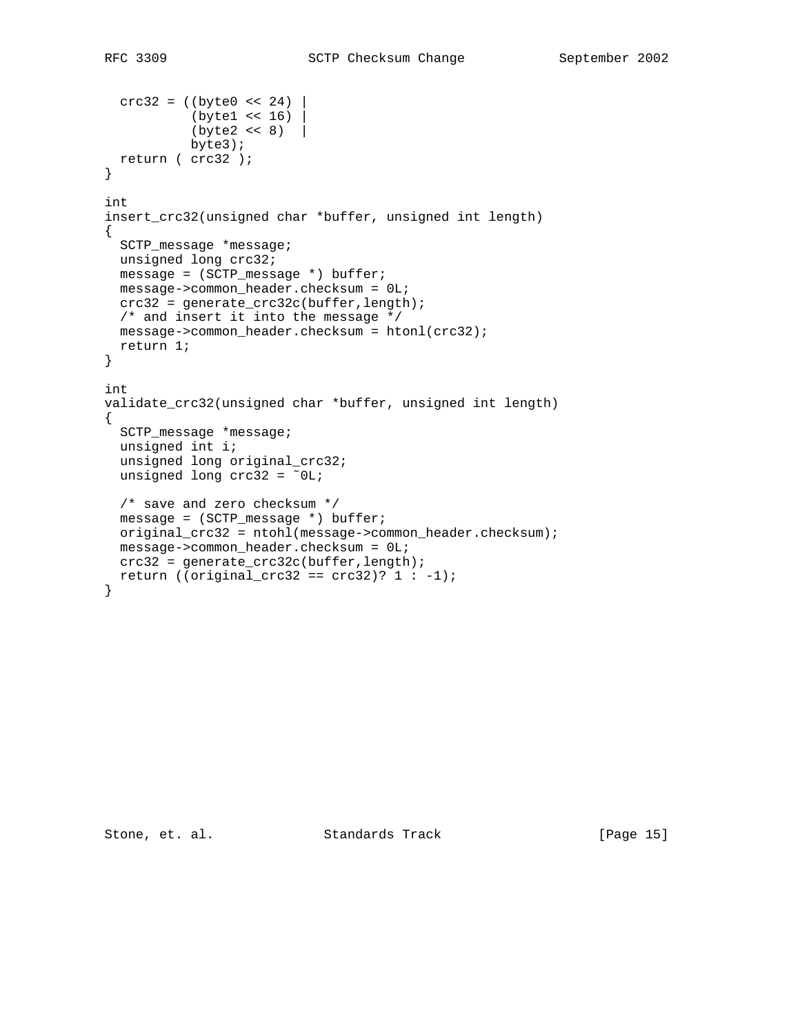```
\text{crc32} = ((\text{byte0} << 24)) (byte1 << 16) |
           (byte2 << 8) byte3);
  return ( crc32 );
}
int
insert_crc32(unsigned char *buffer, unsigned int length)
{
  SCTP_message *message;
  unsigned long crc32;
  message = (SCTP_message *) buffer;
  message->common_header.checksum = 0L;
  crc32 = generate_crc32c(buffer,length);
  /* and insert it into the message */
  message->common_header.checksum = htonl(crc32);
  return 1;
}
int
validate_crc32(unsigned char *buffer, unsigned int length)
{
   SCTP_message *message;
  unsigned int i;
  unsigned long original_crc32;
 unsigned long \csc 32 = 0L;
  /* save and zero checksum */
  message = (SCTP_message *) buffer;
  original_crc32 = ntohl(message->common_header.checksum);
  message->common_header.checksum = 0L;
  crc32 = generate_crc32c(buffer,length);
 return ((original_crc32 == crc32)? 1 : -1);
}
```
Stone, et. al. Standards Track [Page 15]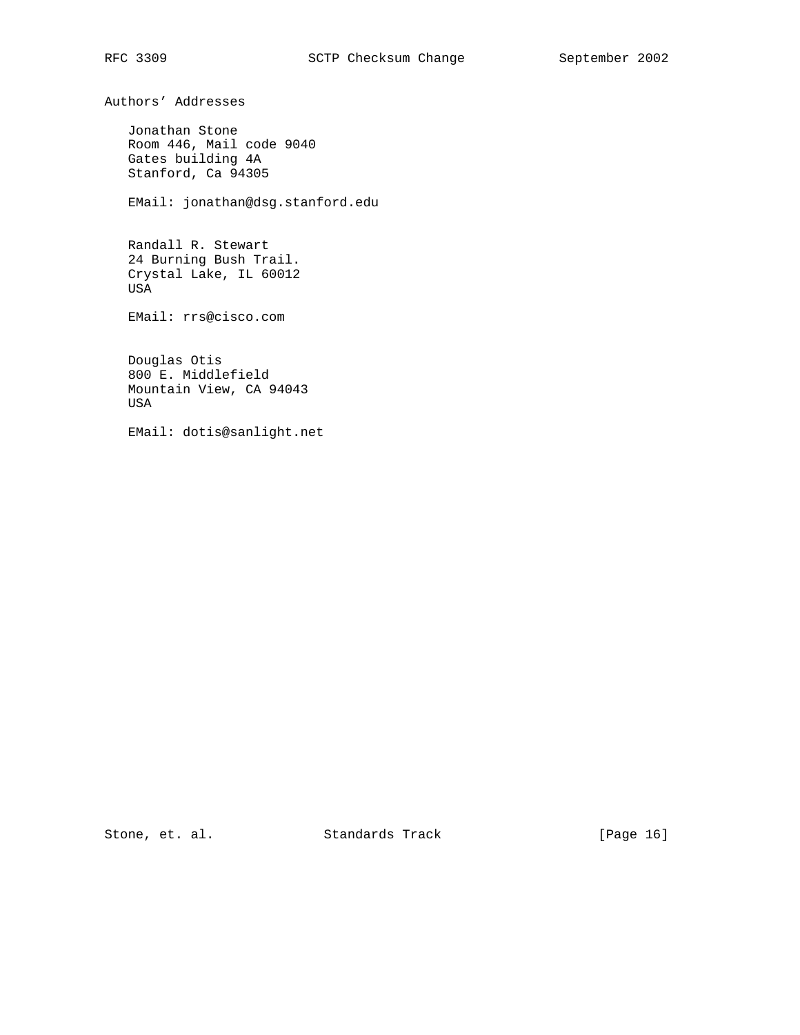Authors' Addresses

 Jonathan Stone Room 446, Mail code 9040 Gates building 4A Stanford, Ca 94305

EMail: jonathan@dsg.stanford.edu

 Randall R. Stewart 24 Burning Bush Trail. Crystal Lake, IL 60012 USA

EMail: rrs@cisco.com

 Douglas Otis 800 E. Middlefield Mountain View, CA 94043 USA

EMail: dotis@sanlight.net

Stone, et. al. Standards Track [Page 16]